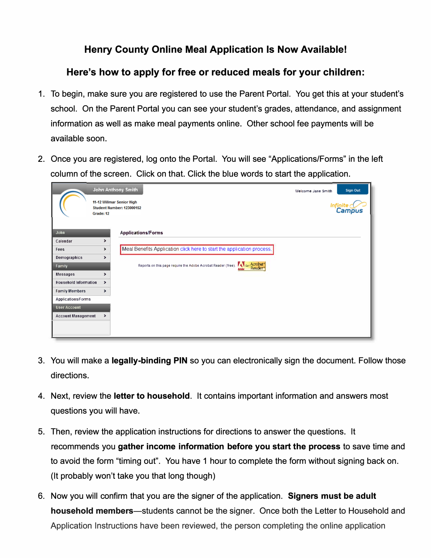## **Henry County Online Meal Application Is Now Available!**

## **Here's how to apply for free or reduced meals for your children:**

- 1. To begin, make sure you are registered to use the Parent Portal. You get this at your student's school. On the Parent Portal you can see your student's grades, attendance, and assignment information as well as make meal payments online. Other school fee payments will be available soon.
- 2. Once you are registered, log onto the Portal. You will see "Applications/Forms" in the left column of the screen. Click on that. Click the blue words to start the application.

|                              | <b>John Anthony Smith</b>                                                                    | Welcome Jane Smith | <b>Sign Out</b>    |
|------------------------------|----------------------------------------------------------------------------------------------|--------------------|--------------------|
| Grade: 12                    | 11-12 Willmar Senior High<br><b>Student Number: 123000152</b>                                |                    | Infinite<br>Campus |
| John                         | <b>Applications/Forms</b>                                                                    |                    |                    |
| Calendar                     | $\rightarrow$                                                                                |                    |                    |
| Fees                         | Meal Benefits Application click here to start the application process.<br>>                  |                    |                    |
| Demographics                 | ⋗                                                                                            |                    |                    |
| Family                       | Acrobat <sup>®</sup><br>Reports on this page require the Adobe Acrobat Reader (free). 74 Get |                    |                    |
| Messages                     | ⋗                                                                                            |                    |                    |
| <b>Household Information</b> | $\rightarrow$                                                                                |                    |                    |
| <b>Family Members</b>        | $\rightarrow$                                                                                |                    |                    |
| Applications/Forms           |                                                                                              |                    |                    |
| <b>User Account</b>          |                                                                                              |                    |                    |
| <b>Account Management</b>    | $\blacktriangleright$                                                                        |                    |                    |
|                              |                                                                                              |                    |                    |

- 3. You will make a **legally-binding PIN** so you can electronically sign the document. Follow those directions.
- 4. Next, review the **letter to household.** It contains important information and answers most questions you will have.
- 5. Then, review the application instructions for directions to answer the questions. It recommends you **gather income information before you start the process** to save time and to avoid the form "timing out". You have 1 hour to complete the form without signing back on. (It probably won't take you that long though)
- 6. Now you will confirm that you are the signer of the application. **Signers must be adult household members—students cannot be the signer. Once both the Letter to Household and** Application Instructions have been reviewed, the person completing the online application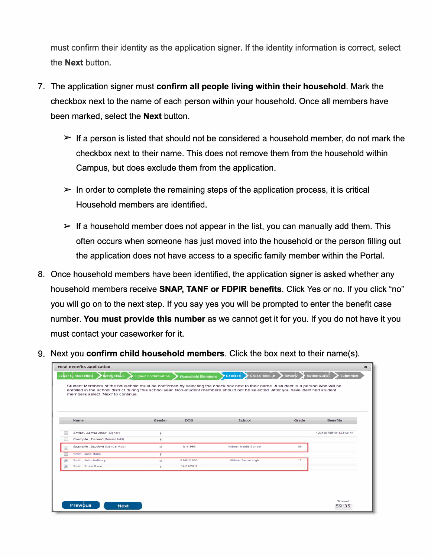must confirm their identity as the application signer. If the identity information is correct, select the **Next** button.

- 7. The application signer must **confirm all people living within their household.** Mark the checkbox next to the name of each person within your household. Once all members have been marked, select the **Next** button.
	- $\triangleright$  If a person is listed that should not be considered a household member, do not mark the checkbox next to their name. This does not remove them from the household within Campus, but does exclude them from the application.
	- $\triangleright$  In order to complete the remaining steps of the application process, it is critical Household members are identified.
	- $\triangleright$  If a household member does not appear in the list, you can manually add them. This often occurs when someone has just moved into the household or the person filling out the application does not have access to a specific family member within the Portal.
- 8. Once household members have been identified, the application signer is asked whether any household members receive **SNAP, TANF or FDPIR benefits.** Click Yes or no. If you click "no" you will go on to the next step. If you say yes you will be prompted to enter the benefit case number. **You must provide this number** as we cannot get it for you. If you do not have it you must contact your caseworker for it.
- 9. Next you **confirm child household members.** Click the box next to their name(s).

| Name |                               | Gender | <b>DOB</b> | School                | Grade | <b>Benefits</b>      |
|------|-------------------------------|--------|------------|-----------------------|-------|----------------------|
|      | Smith, James John (Signer)    | is.    |            |                       |       | 12345678910112313141 |
|      | Example, Parent (Manual Add)  |        |            |                       |       |                      |
|      | Example, Student (Manual Add) |        | 1/1/1996   | Willmar Middle School | 08    |                      |
|      | Smith, Jane Marie             |        |            |                       |       |                      |
|      | Smith, John Anthony           | M.     | 01/01/1995 | Willmar Senior High   | 12    |                      |
|      | Smith, Susie Marie            | F.     | 04/01/2011 |                       |       |                      |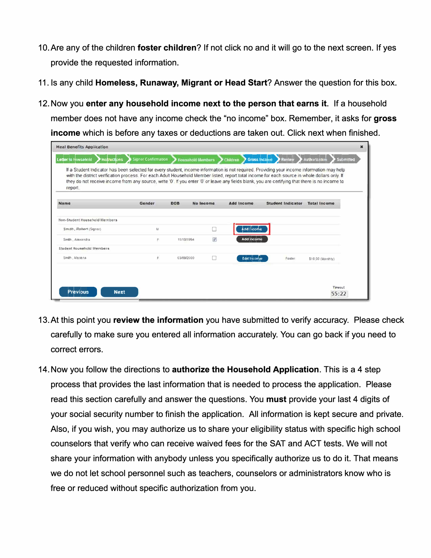- 1 O.Are any of the children **foster children?** If not click no and it will go to the next screen. If yes provide the requested information.
- 11. Is any child **Homeless, Runaway, Migrant or Head Start?** Answer the question for this box.
- 12. Now you **enter any household income next to the person that earns it.** If a household member does not have any income check the "no income" box. Remember, it asks for **gross income** which is before any taxes or deductions are taken out. Click next when finished.

| <b>Meal Benefits Application</b>                                                                                                                                                                                                                                                                                                                                                                                                                           |                            |            |                   |                                 |                          |                            |
|------------------------------------------------------------------------------------------------------------------------------------------------------------------------------------------------------------------------------------------------------------------------------------------------------------------------------------------------------------------------------------------------------------------------------------------------------------|----------------------------|------------|-------------------|---------------------------------|--------------------------|----------------------------|
| Letter to Household<br><b>Instructions</b>                                                                                                                                                                                                                                                                                                                                                                                                                 | <b>Signer Confirmation</b> |            | Household Members | Children<br><b>Gross Income</b> | Review                   | Submitted<br>holistinonluA |
| If a Student Indicator has been selected for every student, income information is not required. Providing your income information may help<br>with the district verification process. For each Adult Household Member listed, report total income for each source in whole dollars only. If<br>they do not receive income from any source, write '0'. If you enter '0' or leave any fields blank, you are certifying that there is no income to<br>report. |                            |            |                   |                                 |                          |                            |
| <b>Name</b>                                                                                                                                                                                                                                                                                                                                                                                                                                                | Gender                     | <b>DOB</b> | No Income         | <b>Add Income</b>               | <b>Student Indicator</b> | <b>Total Income</b>        |
| Hon-Student Household Members                                                                                                                                                                                                                                                                                                                                                                                                                              |                            |            |                   |                                 |                          |                            |
| Smith, Rabert (Signer)                                                                                                                                                                                                                                                                                                                                                                                                                                     | M                          |            |                   | Add Income                      |                          |                            |
| Smith . Alexandra                                                                                                                                                                                                                                                                                                                                                                                                                                          | Е                          | 11/10/1994 | $\mathcal{J}$     | Add Income                      |                          |                            |
| Student Household Members                                                                                                                                                                                                                                                                                                                                                                                                                                  |                            |            |                   |                                 |                          |                            |
|                                                                                                                                                                                                                                                                                                                                                                                                                                                            | É.                         | 03/09/2000 |                   | <b>Edit Income</b>              | Fosler                   | \$10.00 (Monthly)          |

- 13. At this point you **review the information** you have submitted to verify accuracy. Please check carefully to make sure you entered all information accurately. You can go back if you need to correct errors.
- 14. Now you follow the directions to **authorize the Household Application.** This is a 4 step process that provides the last information that is needed to process the application. Please read this section carefully and answer the questions. You **must** provide your last 4 digits of your social security number to finish the application. All information is kept secure and private. Also, if you wish, you may authorize us to share your eligibility status with specific high school counselors that verify who can receive waived fees for the SAT and ACT tests. We will not share your information with anybody unless you specifically authorize us to do it. That means we do not let school personnel such as teachers, counselors or administrators know who is free or reduced without specific authorization from you.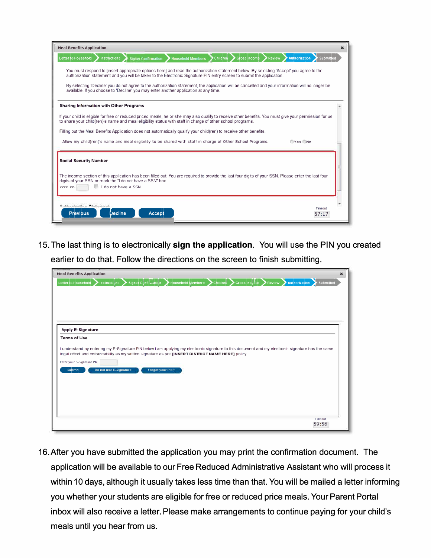| <b>Meal Benefits Application</b>                                                                                                                                                                                                                                                                                                                                                                                                                                                                                                                                         |                            |
|--------------------------------------------------------------------------------------------------------------------------------------------------------------------------------------------------------------------------------------------------------------------------------------------------------------------------------------------------------------------------------------------------------------------------------------------------------------------------------------------------------------------------------------------------------------------------|----------------------------|
| Letter to Household<br><b>Signer Confirmation</b><br><b>Instructions</b><br><b>Household Members</b><br>Children<br>Gross Income<br><b>Review</b>                                                                                                                                                                                                                                                                                                                                                                                                                        | Authorization<br>Submitted |
| You must respond to finsert appropriate options here] and read the authorization statement below. By selecting 'Accept' you agree to the<br>authorization statement and you will be taken to the Electronic Signature PIN entry screen to submit the application.                                                                                                                                                                                                                                                                                                        |                            |
| By selecting 'Decline' you do not agree to the authorization statement, the application will be cancelled and your information will no longer be<br>available. If you choose to 'Decline' you may enter another application at any time.                                                                                                                                                                                                                                                                                                                                 |                            |
| <b>Sharing Information with Other Programs</b>                                                                                                                                                                                                                                                                                                                                                                                                                                                                                                                           |                            |
| If your child is eligible for free or reduced priced meals, he or she may also qualify to receive other benefits. You must give your permission for us<br>to share your child(ren)'s name and meal eligibility status with staff in charge of other school programs.                                                                                                                                                                                                                                                                                                     |                            |
|                                                                                                                                                                                                                                                                                                                                                                                                                                                                                                                                                                          |                            |
|                                                                                                                                                                                                                                                                                                                                                                                                                                                                                                                                                                          |                            |
|                                                                                                                                                                                                                                                                                                                                                                                                                                                                                                                                                                          | OYes ONO                   |
|                                                                                                                                                                                                                                                                                                                                                                                                                                                                                                                                                                          |                            |
|                                                                                                                                                                                                                                                                                                                                                                                                                                                                                                                                                                          |                            |
|                                                                                                                                                                                                                                                                                                                                                                                                                                                                                                                                                                          |                            |
|                                                                                                                                                                                                                                                                                                                                                                                                                                                                                                                                                                          |                            |
| I I do not have a SSN                                                                                                                                                                                                                                                                                                                                                                                                                                                                                                                                                    |                            |
|                                                                                                                                                                                                                                                                                                                                                                                                                                                                                                                                                                          |                            |
| Filling out the Meal Benefits Application does not automatically qualify your child(ren) to receive other benefits.<br>Allow my child (ren)'s name and meal eligibility to be shared with staff in charge of Other School Programs.<br><b>Social Security Number</b><br>The income section of this application has been filled out. You are required to provide the last four digits of your SSN. Please enter the last four<br>digits of your SSN or mark the "I do not have a SSN" box.<br>XXXX-XX-<br>Archimalmatica Continua<br>Decline<br><b>Previous</b><br>Accept | Timeout<br>57:17           |

15. The last thing is to electronically sign the application. You will use the PIN you created earlier to do that. Follow the directions on the screen to finish submitting.

| <b>Meal Benefits Application</b>                                                                                                                  | $\ast$                     |
|---------------------------------------------------------------------------------------------------------------------------------------------------|----------------------------|
| Gross Income<br>Letter to Household<br><b>Household Members</b><br><b>Review</b><br>Instructions<br><b>Signer Confirmation</b><br>Children        | Authorization<br>Submitted |
|                                                                                                                                                   |                            |
|                                                                                                                                                   |                            |
|                                                                                                                                                   |                            |
|                                                                                                                                                   |                            |
|                                                                                                                                                   |                            |
| <b>Apply E-Signature</b>                                                                                                                          |                            |
| <b>Terms of Use</b>                                                                                                                               |                            |
| I understand by entering my E-Signature PIN below I am applying my electronic signature to this document and my electronic signature has the same |                            |
| legal effect and enforceability as my written signature as per [INSERT DISTRICT NAME HERE] policy.                                                |                            |
| Enter your E-Signature PIN                                                                                                                        |                            |
| Do not use E-Signature<br>Forgot your PIN?<br>Submit                                                                                              |                            |
|                                                                                                                                                   |                            |
|                                                                                                                                                   |                            |
|                                                                                                                                                   |                            |
|                                                                                                                                                   |                            |
|                                                                                                                                                   |                            |
|                                                                                                                                                   | Timeout                    |
|                                                                                                                                                   | 59:56                      |

16. After you have submitted the application you may print the confirmation document. The application will be available to our Free Reduced Administrative Assistant who will process it within 10 days, although it usually takes less time than that. You will be mailed a letter informing you whether your students are eligible for free or reduced price meals. Your Parent Portal inbox will also receive a letter. Please make arrangements to continue paying for your child's meals until you hear from us.